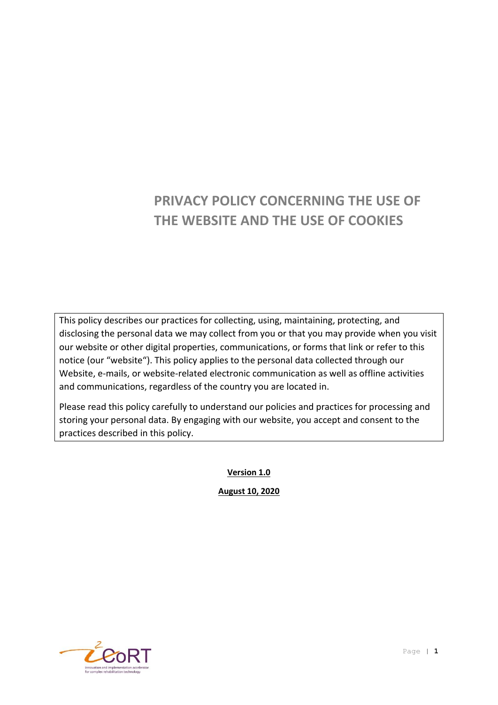# **PRIVACY POLICY CONCERNING THE USE OF THE WEBSITE AND THE USE OF COOKIES**

This policy describes our practices for collecting, using, maintaining, protecting, and disclosing the personal data we may collect from you or that you may provide when you visit our website or other digital properties, communications, or forms that link or refer to this notice (our "website"). This policy applies to the personal data collected through our Website, e-mails, or website-related electronic communication as well as offline activities and communications, regardless of the country you are located in.

Please read this policy carefully to understand our policies and practices for processing and storing your personal data. By engaging with our website, you accept and consent to the practices described in this policy.

**Version 1.0**

**August 10, 2020**

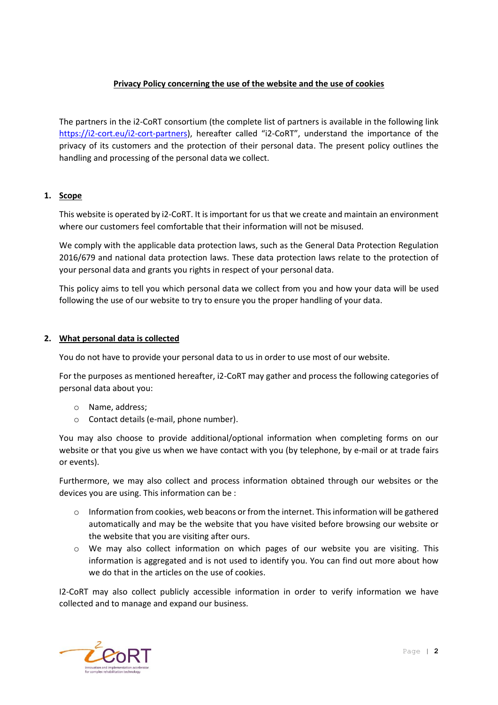# **Privacy Policy concerning the use of the website and the use of cookies**

The partners in the i2-CoRT consortium (the complete list of partners is available in the following link [https://i2-cort.eu/i2-cort-partners\)](https://i2-cort.eu/i2-cort-partners), hereafter called "i2-CoRT", understand the importance of the privacy of its customers and the protection of their personal data. The present policy outlines the handling and processing of the personal data we collect.

# **1. Scope**

This website is operated by i2-CoRT. It is important for us that we create and maintain an environment where our customers feel comfortable that their information will not be misused.

We comply with the applicable data protection laws, such as the General Data Protection Regulation 2016/679 and national data protection laws. These data protection laws relate to the protection of your personal data and grants you rights in respect of your personal data.

This policy aims to tell you which personal data we collect from you and how your data will be used following the use of our website to try to ensure you the proper handling of your data.

## **2. What personal data is collected**

You do not have to provide your personal data to us in order to use most of our website.

For the purposes as mentioned hereafter, i2-CoRT may gather and process the following categories of personal data about you:

- o Name, address;
- o Contact details (e-mail, phone number).

You may also choose to provide additional/optional information when completing forms on our website or that you give us when we have contact with you (by telephone, by e-mail or at trade fairs or events).

Furthermore, we may also collect and process information obtained through our websites or the devices you are using. This information can be :

- $\circ$  Information from cookies, web beacons or from the internet. This information will be gathered automatically and may be the website that you have visited before browsing our website or the website that you are visiting after ours.
- o We may also collect information on which pages of our website you are visiting. This information is aggregated and is not used to identify you. You can find out more about how we do that in the articles on the use of cookies.

I2-CoRT may also collect publicly accessible information in order to verify information we have collected and to manage and expand our business.

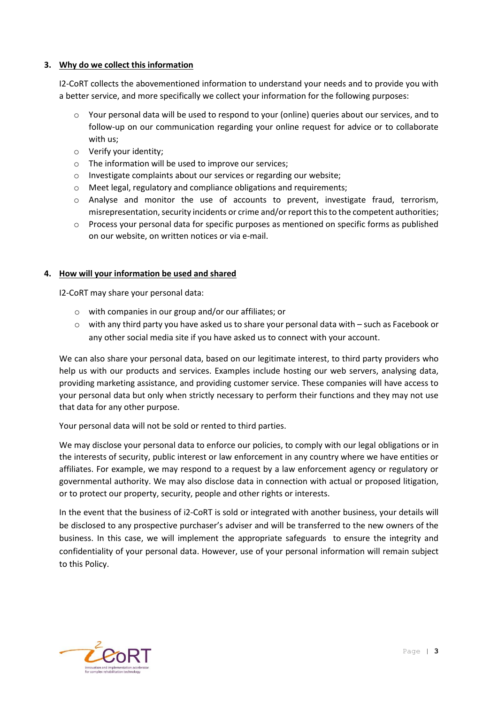## **3. Why do we collect this information**

I2-CoRT collects the abovementioned information to understand your needs and to provide you with a better service, and more specifically we collect your information for the following purposes:

- $\circ$  Your personal data will be used to respond to your (online) queries about our services, and to follow-up on our communication regarding your online request for advice or to collaborate with us;
- o Verify your identity;
- o The information will be used to improve our services;
- o Investigate complaints about our services or regarding our website;
- o Meet legal, regulatory and compliance obligations and requirements;
- $\circ$  Analyse and monitor the use of accounts to prevent, investigate fraud, terrorism, misrepresentation, security incidents or crime and/or report this to the competent authorities;
- o Process your personal data for specific purposes as mentioned on specific forms as published on our website, on written notices or via e-mail.

## **4. How will your information be used and shared**

I2-CoRT may share your personal data:

- o with companies in our group and/or our affiliates; or
- o with any third party you have asked us to share your personal data with such as Facebook or any other social media site if you have asked us to connect with your account.

We can also share your personal data, based on our legitimate interest, to third party providers who help us with our products and services. Examples include hosting our web servers, analysing data, providing marketing assistance, and providing customer service. These companies will have access to your personal data but only when strictly necessary to perform their functions and they may not use that data for any other purpose.

Your personal data will not be sold or rented to third parties.

We may disclose your personal data to enforce our policies, to comply with our legal obligations or in the interests of security, public interest or law enforcement in any country where we have entities or affiliates. For example, we may respond to a request by a law enforcement agency or regulatory or governmental authority. We may also disclose data in connection with actual or proposed litigation, or to protect our property, security, people and other rights or interests.

In the event that the business of i2-CoRT is sold or integrated with another business, your details will be disclosed to any prospective purchaser's adviser and will be transferred to the new owners of the business. In this case, we will implement the appropriate safeguards to ensure the integrity and confidentiality of your personal data. However, use of your personal information will remain subject to this Policy.

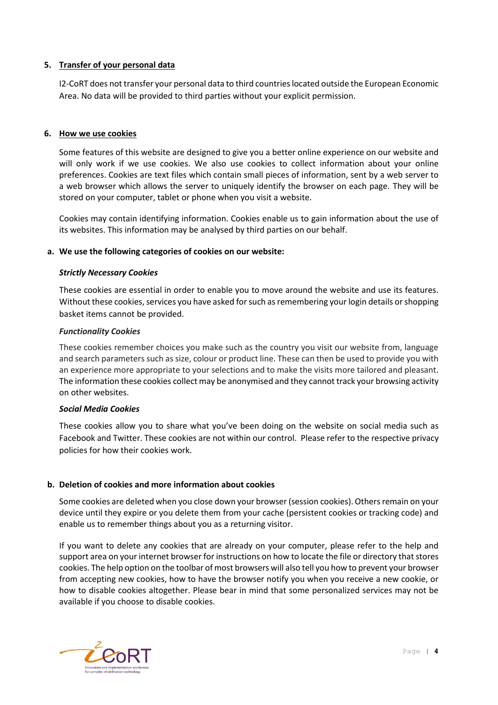## **5. Transfer of your personal data**

I2-CoRT does not transfer your personal data to third countries located outside the European Economic Area. No data will be provided to third parties without your explicit permission.

### **6. How we use cookies**

Some features of this website are designed to give you a better online experience on our website and will only work if we use cookies. We also use cookies to collect information about your online preferences. Cookies are text files which contain small pieces of information, sent by a web server to a web browser which allows the server to uniquely identify the browser on each page. They will be stored on your computer, tablet or phone when you visit a website.

Cookies may contain identifying information. Cookies enable us to gain information about the use of its websites. This information may be analysed by third parties on our behalf.

#### **a. We use the following categories of cookies on our website:**

#### *Strictly Necessary Cookies*

These cookies are essential in order to enable you to move around the website and use its features. Without these cookies, services you have asked for such as remembering your login details or shopping basket items cannot be provided.

#### *Functionality Cookies*

These cookies remember choices you make such as the country you visit our website from, language and search parameters such as size, colour or product line. These can then be used to provide you with an experience more appropriate to your selections and to make the visits more tailored and pleasant. The information these cookies collect may be anonymised and they cannot track your browsing activity on other websites.

#### *Social Media Cookies*

These cookies allow you to share what you've been doing on the website on social media such as Facebook and Twitter. These cookies are not within our control. Please refer to the respective privacy policies for how their cookies work.

#### **b. Deletion of cookies and more information about cookies**

Some cookies are deleted when you close down your browser (session cookies). Others remain on your device until they expire or you delete them from your cache (persistent cookies or tracking code) and enable us to remember things about you as a returning visitor.

If you want to delete any cookies that are already on your computer, please refer to the help and support area on your internet browser for instructions on how to locate the file or directory that stores cookies. The help option on the toolbar of most browsers will also tell you how to prevent your browser from accepting new cookies, how to have the browser notify you when you receive a new cookie, or how to disable cookies altogether. Please bear in mind that some personalized services may not be available if you choose to disable cookies.

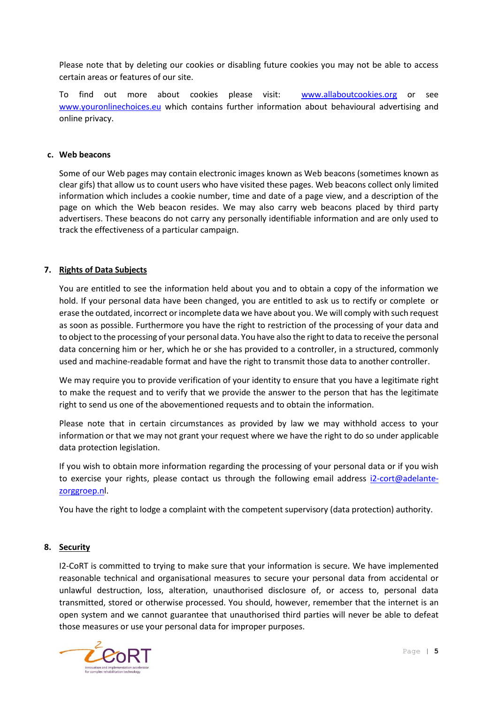Please note that by deleting our cookies or disabling future cookies you may not be able to access certain areas or features of our site.

To find out more about cookies please visit: [www.allaboutcookies.org](http://www.allaboutcookies.org/) or see [www.youronlinechoices.eu](http://www.youronlinechoices.eu/) which contains further information about behavioural advertising and online privacy.

#### **c. Web beacons**

Some of our Web pages may contain electronic images known as Web beacons (sometimes known as clear gifs) that allow us to count users who have visited these pages. Web beacons collect only limited information which includes a cookie number, time and date of a page view, and a description of the page on which the Web beacon resides. We may also carry web beacons placed by third party advertisers. These beacons do not carry any personally identifiable information and are only used to track the effectiveness of a particular campaign.

## **7. Rights of Data Subjects**

You are entitled to see the information held about you and to obtain a copy of the information we hold. If your personal data have been changed, you are entitled to ask us to rectify or complete or erase the outdated, incorrect or incomplete data we have about you. We will comply with such request as soon as possible. Furthermore you have the right to restriction of the processing of your data and to object to the processing of your personal data. You have also the right to data to receive the personal data concerning him or her, which he or she has provided to a controller, in a structured, commonly used and machine-readable format and have the right to transmit those data to another controller.

We may require you to provide verification of your identity to ensure that you have a legitimate right to make the request and to verify that we provide the answer to the person that has the legitimate right to send us one of the abovementioned requests and to obtain the information.

Please note that in certain circumstances as provided by law we may withhold access to your information or that we may not grant your request where we have the right to do so under applicable data protection legislation.

If you wish to obtain more information regarding the processing of your personal data or if you wish to exercise your rights, please contact us through the following email address [i2-cort@adelante](mailto:i2-cort@adelante-zorggroep.n)[zorggroep.nl](mailto:i2-cort@adelante-zorggroep.n).

You have the right to lodge a complaint with the competent supervisory (data protection) authority.

#### **8. Security**

I2-CoRT is committed to trying to make sure that your information is secure. We have implemented reasonable technical and organisational measures to secure your personal data from accidental or unlawful destruction, loss, alteration, unauthorised disclosure of, or access to, personal data transmitted, stored or otherwise processed. You should, however, remember that the internet is an open system and we cannot guarantee that unauthorised third parties will never be able to defeat those measures or use your personal data for improper purposes.